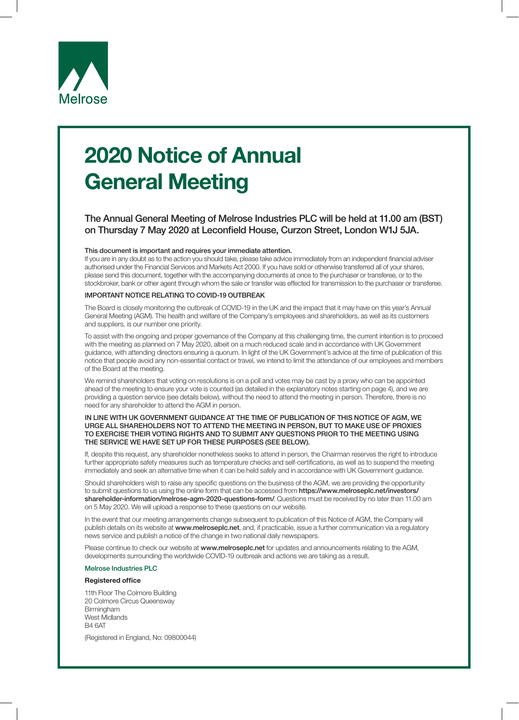

# 2020 Notice of Annual General Meeting

# The Annual General Meeting of Melrose Industries PLC will be held at 11.00 am (BST) on Thursday 7 May 2020 at Leconfield House, Curzon Street, London W1J 5JA.

#### This document is important and requires your immediate attention.

If you are in any doubt as to the action you should take, please take advice immediately from an independent financial adviser authorised under the Financial Services and Markets Act 2000. If you have sold or otherwise transferred all of your shares, please send this document, together with the accompanying documents at once to the purchaser or transferee, or to the stockbroker, bank or other agent through whom the sale or transfer was effected for transmission to the purchaser or transferee.

### IMPORTANT NOTICE RELATING TO COVID-19 OUTBREAK

The Board is closely monitoring the outbreak of COVID-19 in the UK and the impact that it may have on this year's Annual General Meeting (AGM). The health and welfare of the Company's employees and shareholders, as well as its customers and suppliers, is our number one priority.

To assist with the ongoing and proper governance of the Company at this challenging time, the current intention is to proceed with the meeting as planned on 7 May 2020, albeit on a much reduced scale and in accordance with UK Government guidance, with attending directors ensuring a quorum. In light of the UK Government's advice at the time of publication of this notice that people avoid any non-essential contact or travel, we intend to limit the attendance of our employees and members of the Board at the meeting.

We remind shareholders that voting on resolutions is on a poll and votes may be cast by a proxy who can be appointed ahead of the meeting to ensure your vote is counted (as detailed in the explanatory notes starting on page 4), and we are providing a question service (see details below), without the need to attend the meeting in person. Therefore, there is no need for any shareholder to attend the AGM in person.

#### IN LINE WITH UK GOVERNMENT GUIDANCE AT THE TIME OF PUBLICATION OF THIS NOTICE OF AGM, WE URGE ALL SHAREHOLDERS NOT TO ATTEND THE MEETING IN PERSON, BUT TO MAKE USE OF PROXIES TO EXERCISE THEIR VOTING RIGHTS AND TO SUBMIT ANY QUESTIONS PRIOR TO THE MEETING USING THE SERVICE WE HAVE SET UP FOR THESE PURPOSES (SEE BELOW).

If, despite this request, any shareholder nonetheless seeks to attend in person, the Chairman reserves the right to introduce further appropriate safety measures such as temperature checks and self-certifications, as well as to suspend the meeting immediately and seek an alternative time when it can be held safely and in accordance with UK Government guidance.

Should shareholders wish to raise any specific questions on the business of the AGM, we are providing the opportunity to submit questions to us using the online form that can be accessed from https://www.melroseplc.net/investors/ shareholder-information/melrose-agm-2020-questions-form/. Questions must be received by no later than 11.00 am on 5 May 2020. We will upload a response to these questions on our website.

In the event that our meeting arrangements change subsequent to publication of this Notice of AGM, the Company will publish details on its website at www.melroseplc.net, and, if practicable, issue a further communication via a regulatory news service and publish a notice of the change in two national daily newspapers.

Please continue to check our website at www.melroseplc.net for updates and announcements relating to the AGM developments surrounding the worldwide COVID-19 outbreak and actions we are taking as a result.

#### Melrose Industries PLC

#### Registered office

11th Floor The Colmore Building 20 Colmore Circus Queensway Birmingham West Midlands B4 6AT

(Registered in England, No: 09800044)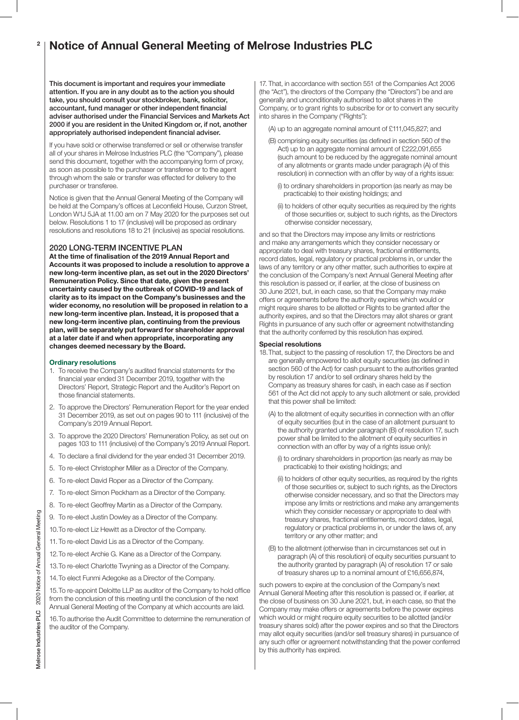#### Notice of Annual General Meeting of Melrose Industries PLC 2

This document is important and requires your immediate attention. If you are in any doubt as to the action you should take, you should consult your stockbroker, bank, solicitor, accountant, fund manager or other independent financial adviser authorised under the Financial Services and Markets Act 2000 if you are resident in the United Kingdom or, if not, another appropriately authorised independent financial adviser.

If you have sold or otherwise transferred or sell or otherwise transfer all of your shares in Melrose Industries PLC (the "Company"), please send this document, together with the accompanying form of proxy, as soon as possible to the purchaser or transferee or to the agent through whom the sale or transfer was effected for delivery to the purchaser or transferee.

Notice is given that the Annual General Meeting of the Company will be held at the Company's offices at Leconfield House, Curzon Street, London W1J 5JA at 11.00 am on 7 May 2020 for the purposes set out below. Resolutions 1 to 17 (inclusive) will be proposed as ordinary resolutions and resolutions 18 to 21 (inclusive) as special resolutions.

# 2020 LONG-TERM INCENTIVE PLAN

At the time of finalisation of the 2019 Annual Report and Accounts it was proposed to include a resolution to approve a new long-term incentive plan, as set out in the 2020 Directors' Remuneration Policy. Since that date, given the present uncertainty caused by the outbreak of COVID-19 and lack of clarity as to its impact on the Company's businesses and the wider economy, no resolution will be proposed in relation to a new long-term incentive plan. Instead, it is proposed that a new long-term incentive plan, continuing from the previous plan, will be separately put forward for shareholder approval at a later date if and when appropriate, incorporating any changes deemed necessary by the Board.

#### Ordinary resolutions

- 1. To receive the Company's audited financial statements for the financial year ended 31 December 2019, together with the Directors' Report, Strategic Report and the Auditor's Report on those financial statements.
- 2. To approve the Directors' Remuneration Report for the year ended 31 December 2019, as set out on pages 90 to 111 (inclusive) of the Company's 2019 Annual Report.
- 3. To approve the 2020 Directors' Remuneration Policy, as set out on pages 103 to 111 (inclusive) of the Company's 2019 Annual Report.
- 4. To declare a final dividend for the year ended 31 December 2019.
- 5. To re-elect Christopher Miller as a Director of the Company.
- 6. To re-elect David Roper as a Director of the Company.
- 7. To re-elect Simon Peckham as a Director of the Company.
- 8. To re-elect Geoffrey Martin as a Director of the Company.
- 9. To re-elect Justin Dowley as a Director of the Company.
- 10.To re-elect Liz Hewitt as a Director of the Company.
- 11. To re-elect David Lis as a Director of the Company.
- 12.To re-elect Archie G. Kane as a Director of the Company.
- 13.To re-elect Charlotte Twyning as a Director of the Company.
- 14.To elect Funmi Adegoke as a Director of the Company.

15.To re-appoint Deloitte LLP as auditor of the Company to hold office from the conclusion of this meeting until the conclusion of the next Annual General Meeting of the Company at which accounts are laid.

16.To authorise the Audit Committee to determine the remuneration of the auditor of the Company.

17. That, in accordance with section 551 of the Companies Act 2006 (the "Act"), the directors of the Company (the "Directors") be and are generally and unconditionally authorised to allot shares in the Company, or to grant rights to subscribe for or to convert any security into shares in the Company ("Rights"):

(A) up to an aggregate nominal amount of £111,045,827; and

- (B) comprising equity securities (as defined in section 560 of the Act) up to an aggregate nominal amount of £222,091,655 (such amount to be reduced by the aggregate nominal amount of any allotments or grants made under paragraph (A) of this resolution) in connection with an offer by way of a rights issue:
	- (i) to ordinary shareholders in proportion (as nearly as may be practicable) to their existing holdings; and
	- (ii) to holders of other equity securities as required by the rights of those securities or, subject to such rights, as the Directors otherwise consider necessary,

and so that the Directors may impose any limits or restrictions and make any arrangements which they consider necessary or appropriate to deal with treasury shares, fractional entitlements, record dates, legal, regulatory or practical problems in, or under the laws of any territory or any other matter, such authorities to expire at the conclusion of the Company's next Annual General Meeting after this resolution is passed or, if earlier, at the close of business on 30 June 2021, but, in each case, so that the Company may make offers or agreements before the authority expires which would or might require shares to be allotted or Rights to be granted after the authority expires, and so that the Directors may allot shares or grant Rights in pursuance of any such offer or agreement notwithstanding that the authority conferred by this resolution has expired.

#### Special resolutions

18. That, subject to the passing of resolution 17, the Directors be and are generally empowered to allot equity securities (as defined in section 560 of the Act) for cash pursuant to the authorities granted by resolution 17 and/or to sell ordinary shares held by the Company as treasury shares for cash, in each case as if section 561 of the Act did not apply to any such allotment or sale, provided that this power shall be limited:

- (A) to the allotment of equity securities in connection with an offer of equity securities (but in the case of an allotment pursuant to the authority granted under paragraph (B) of resolution 17, such power shall be limited to the allotment of equity securities in connection with an offer by way of a rights issue only):
	- (i) to ordinary shareholders in proportion (as nearly as may be practicable) to their existing holdings; and
	- (ii) to holders of other equity securities, as required by the rights of those securities or, subject to such rights, as the Directors otherwise consider necessary, and so that the Directors may impose any limits or restrictions and make any arrangements which they consider necessary or appropriate to deal with treasury shares, fractional entitlements, record dates, legal, regulatory or practical problems in, or under the laws of, any territory or any other matter; and
- (B) to the allotment (otherwise than in circumstances set out in paragraph (A) of this resolution) of equity securities pursuant to the authority granted by paragraph (A) of resolution 17 or sale of treasury shares up to a nominal amount of £16,656,874,

such powers to expire at the conclusion of the Company's next Annual General Meeting after this resolution is passed or, if earlier, at the close of business on 30 June 2021, but, in each case, so that the Company may make offers or agreements before the power expires which would or might require equity securities to be allotted (and/or treasury shares sold) after the power expires and so that the Directors may allot equity securities (and/or sell treasury shares) in pursuance of any such offer or agreement notwithstanding that the power conferred by this authority has expired.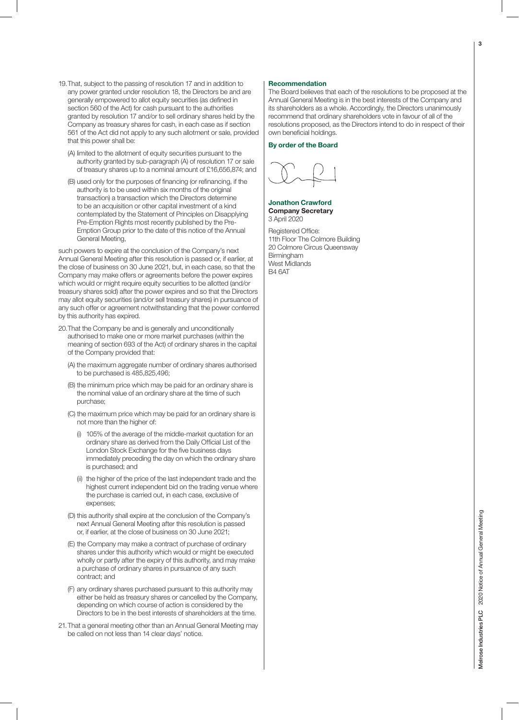- 19. That, subject to the passing of resolution 17 and in addition to any power granted under resolution 18, the Directors be and are generally empowered to allot equity securities (as defined in section 560 of the Act) for cash pursuant to the authorities granted by resolution 17 and/or to sell ordinary shares held by the Company as treasury shares for cash, in each case as if section 561 of the Act did not apply to any such allotment or sale, provided that this power shall be:
	- (A) limited to the allotment of equity securities pursuant to the authority granted by sub-paragraph (A) of resolution 17 or sale of treasury shares up to a nominal amount of £16,656,874; and
	- (B) used only for the purposes of financing (or refinancing, if the authority is to be used within six months of the original transaction) a transaction which the Directors determine to be an acquisition or other capital investment of a kind contemplated by the Statement of Principles on Disapplying Pre-Emption Rights most recently published by the Pre-Emption Group prior to the date of this notice of the Annual General Meeting,

such powers to expire at the conclusion of the Company's next Annual General Meeting after this resolution is passed or, if earlier, at the close of business on 30 June 2021, but, in each case, so that the Company may make offers or agreements before the power expires which would or might require equity securities to be allotted (and/or treasury shares sold) after the power expires and so that the Directors may allot equity securities (and/or sell treasury shares) in pursuance of any such offer or agreement notwithstanding that the power conferred by this authority has expired.

- 20. That the Company be and is generally and unconditionally authorised to make one or more market purchases (within the meaning of section 693 of the Act) of ordinary shares in the capital of the Company provided that:
	- (A) the maximum aggregate number of ordinary shares authorised to be purchased is 485,825,496;
	- (B) the minimum price which may be paid for an ordinary share is the nominal value of an ordinary share at the time of such purchase;
	- (C) the maximum price which may be paid for an ordinary share is not more than the higher of:
		- (i) 105% of the average of the middle-market quotation for an ordinary share as derived from the Daily Official List of the London Stock Exchange for the five business days immediately preceding the day on which the ordinary share is purchased; and
		- (ii) the higher of the price of the last independent trade and the highest current independent bid on the trading venue where the purchase is carried out, in each case, exclusive of expenses;
	- (D) this authority shall expire at the conclusion of the Company's next Annual General Meeting after this resolution is passed or, if earlier, at the close of business on 30 June 2021;
	- (E) the Company may make a contract of purchase of ordinary shares under this authority which would or might be executed wholly or partly after the expiry of this authority, and may make a purchase of ordinary shares in pursuance of any such contract; and
	- (F) any ordinary shares purchased pursuant to this authority may either be held as treasury shares or cancelled by the Company, depending on which course of action is considered by the Directors to be in the best interests of shareholders at the time.
- 21. That a general meeting other than an Annual General Meeting may be called on not less than 14 clear days' notice.

#### Recommendation

The Board believes that each of the resolutions to be proposed at the Annual General Meeting is in the best interests of the Company and its shareholders as a whole. Accordingly, the Directors unanimously recommend that ordinary shareholders vote in favour of all of the resolutions proposed, as the Directors intend to do in respect of their own beneficial holdings.

By order of the Board

#### Jonathon Crawford Company Secretary 3 April 2020

Registered Office: 11th Floor The Colmore Building 20 Colmore Circus Queensway Birmingham West Midlands B4 6AT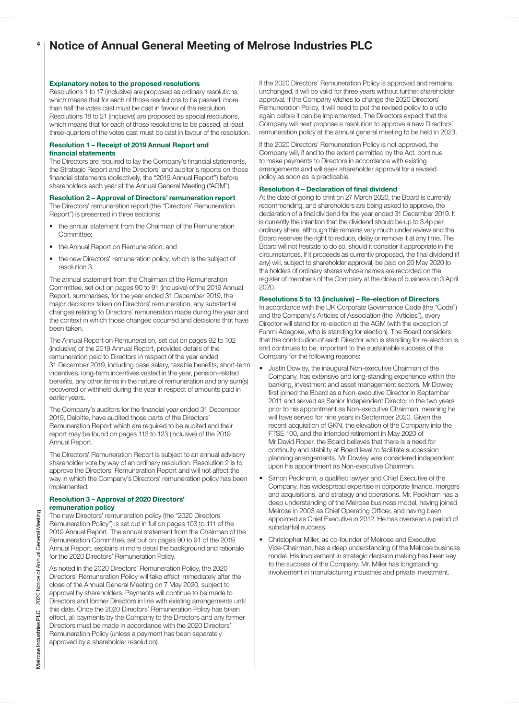#### Notice of Annual General Meeting of Melrose Industries PLC 4

#### Explanatory notes to the proposed resolutions

Resolutions 1 to 17 (inclusive) are proposed as ordinary resolutions, which means that for each of those resolutions to be passed, more than half the votes cast must be cast in favour of the resolution. Resolutions 18 to 21 (inclusive) are proposed as special resolutions, which means that for each of those resolutions to be passed, at least three-quarters of the votes cast must be cast in favour of the resolution.

#### Resolution 1 – Receipt of 2019 Annual Report and financial statements

The Directors are required to lay the Company's financial statements, the Strategic Report and the Directors' and auditor's reports on those financial statements (collectively, the "2019 Annual Report") before shareholders each year at the Annual General Meeting ("AGM").

Resolution 2 – Approval of Directors' remuneration report

The Directors' remuneration report (the "Directors' Remuneration Report") is presented in three sections:

- the annual statement from the Chairman of the Remuneration Committee;
- the Annual Report on Remuneration; and
- the new Directors' remuneration policy, which is the subject of resolution 3.

The annual statement from the Chairman of the Remuneration Committee, set out on pages 90 to 91 (inclusive) of the 2019 Annual Report, summarises, for the year ended 31 December 2019, the major decisions taken on Directors' remuneration, any substantial changes relating to Directors' remuneration made during the year and the context in which those changes occurred and decisions that have been taken.

The Annual Report on Remuneration, set out on pages 92 to 102 (inclusive) of the 2019 Annual Report, provides details of the remuneration paid to Directors in respect of the year ended 31 December 2019, including base salary, taxable benefits, short-term incentives, long-term incentives vested in the year, pension-related benefits, any other items in the nature of remuneration and any sum(s) recovered or withheld during the year in respect of amounts paid in earlier years.

The Company's auditors for the financial year ended 31 December 2019, Deloitte, have audited those parts of the Directors' Remuneration Report which are required to be audited and their report may be found on pages 113 to 123 (inclusive) of the 2019 Annual Report.

The Directors' Remuneration Report is subject to an annual advisory shareholder vote by way of an ordinary resolution. Resolution 2 is to approve the Directors' Remuneration Report and will not affect the way in which the Company's Directors' remuneration policy has been implemented.

#### Resolution 3 – Approval of 2020 Directors' remuneration policy

The new Directors' remuneration policy (the "2020 Directors' Remuneration Policy") is set out in full on pages 103 to 111 of the 2019 Annual Report. The annual statement from the Chairman of the Remuneration Committee, set out on pages 90 to 91 of the 2019 Annual Report, explains in more detail the background and rationale for the 2020 Directors' Remuneration Policy.

As noted in the 2020 Directors' Remuneration Policy, the 2020 Directors' Remuneration Policy will take effect immediately after the close of the Annual General Meeting on 7 May 2020, subject to approval by shareholders. Payments will continue to be made to Directors and former Directors in line with existing arrangements until this date. Once the 2020 Directors' Remuneration Policy has taken effect, all payments by the Company to the Directors and any former Directors must be made in accordance with the 2020 Directors' Remuneration Policy (unless a payment has been separately approved by a shareholder resolution).

If the 2020 Directors' Remuneration Policy is approved and remains unchanged, it will be valid for three years without further shareholder approval. If the Company wishes to change the 2020 Directors' Remuneration Policy, it will need to put the revised policy to a vote again before it can be implemented. The Directors expect that the Company will next propose a resolution to approve a new Directors' remuneration policy at the annual general meeting to be held in 2023.

If the 2020 Directors' Remuneration Policy is not approved, the Company will, if and to the extent permitted by the Act, continue to make payments to Directors in accordance with existing arrangements and will seek shareholder approval for a revised policy as soon as is practicable.

#### Resolution 4 – Declaration of final dividend

At the date of going to print on 27 March 2020, the Board is currently recommending, and shareholders are being asked to approve, the declaration of a final dividend for the year ended 31 December 2019. It is currently the intention that the dividend should be up to 3.4p per ordinary share, although this remains very much under review and the Board reserves the right to reduce, delay or remove it at any time. The Board will not hesitate to do so, should it consider it appropriate in the circumstances. If it proceeds as currently proposed, the final dividend (if any) will, subject to shareholder approval, be paid on 20 May 2020 to the holders of ordinary shares whose names are recorded on the register of members of the Company at the close of business on 3 April 2020.

## Resolutions 5 to 13 (inclusive) – Re-election of Directors

In accordance with the UK Corporate Governance Code (the "Code") and the Company's Articles of Association (the "Articles"), every Director will stand for re-election at the AGM (with the exception of Funmi Adegoke, who is standing for election). The Board considers that the contribution of each Director who is standing for re-election is, and continues to be, important to the sustainable success of the Company for the following reasons:

- Justin Dowley, the inaugural Non-executive Chairman of the Company, has extensive and long-standing experience within the banking, investment and asset management sectors. Mr Dowley first joined the Board as a Non-executive Director in September 2011 and served as Senior Independent Director in the two years prior to his appointment as Non-executive Chairman, meaning he will have served for nine years in September 2020. Given the recent acquisition of GKN, the elevation of the Company into the FTSE 100, and the intended retirement in May 2020 of Mr David Roper, the Board believes that there is a need for continuity and stability at Board level to facilitate succession planning arrangements. Mr Dowley was considered independent upon his appointment as Non-executive Chairman.
- Simon Peckham, a qualified lawyer and Chief Executive of the Company, has widespread expertise in corporate finance, mergers and acquisitions, and strategy and operations. Mr. Peckham has a deep understanding of the Melrose business model, having joined Melrose in 2003 as Chief Operating Officer, and having been appointed as Chief Executive in 2012. He has overseen a period of substantial success.
- Christopher Miller, as co-founder of Melrose and Executive Vice-Chairman, has a deep understanding of the Melrose business model. His involvement in strategic decision making has been key to the success of the Company. Mr. Miller has longstanding involvement in manufacturing industries and private investment.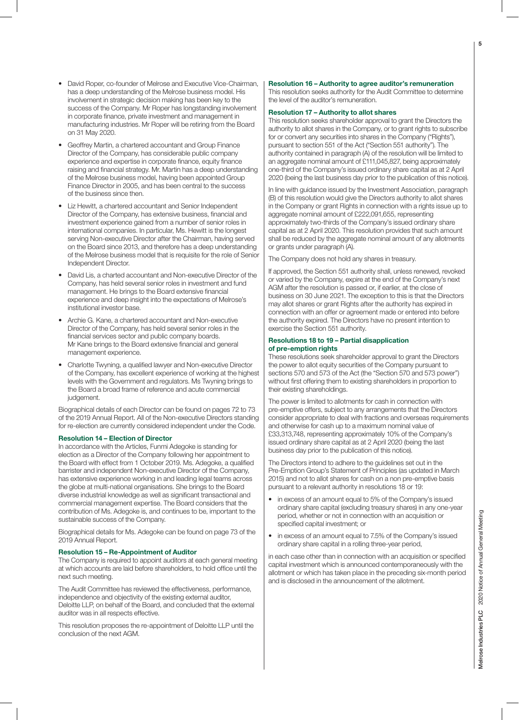- David Roper, co-founder of Melrose and Executive Vice-Chairman, has a deep understanding of the Melrose business model. His involvement in strategic decision making has been key to the success of the Company. Mr Roper has longstanding involvement in corporate finance, private investment and management in manufacturing industries. Mr Roper will be retiring from the Board on 31 May 2020.
- Geoffrey Martin, a chartered accountant and Group Finance Director of the Company, has considerable public company experience and expertise in corporate finance, equity finance raising and financial strategy. Mr. Martin has a deep understanding of the Melrose business model, having been appointed Group Finance Director in 2005, and has been central to the success of the business since then.
- Liz Hewitt, a chartered accountant and Senior Independent Director of the Company, has extensive business, financial and investment experience gained from a number of senior roles in international companies. In particular, Ms. Hewitt is the longest serving Non-executive Director after the Chairman, having served on the Board since 2013, and therefore has a deep understanding of the Melrose business model that is requisite for the role of Senior Independent Director.
- David Lis, a charted accountant and Non-executive Director of the Company, has held several senior roles in investment and fund management. He brings to the Board extensive financial experience and deep insight into the expectations of Melrose's institutional investor base.
- Archie G. Kane, a chartered accountant and Non-executive Director of the Company, has held several senior roles in the financial services sector and public company boards. Mr Kane brings to the Board extensive financial and general management experience.
- Charlotte Twyning, a qualified lawyer and Non-executive Director of the Company, has excellent experience of working at the highest levels with the Government and regulators. Ms Twyning brings to the Board a broad frame of reference and acute commercial judgement.

Biographical details of each Director can be found on pages 72 to 73 of the 2019 Annual Report. All of the Non-executive Directors standing for re-election are currently considered independent under the Code.

#### Resolution 14 – Election of Director

In accordance with the Articles, Funmi Adegoke is standing for election as a Director of the Company following her appointment to the Board with effect from 1 October 2019. Ms. Adegoke, a qualified barrister and independent Non-executive Director of the Company, has extensive experience working in and leading legal teams across the globe at multi-national organisations. She brings to the Board diverse industrial knowledge as well as significant transactional and commercial management expertise. The Board considers that the contribution of Ms. Adegoke is, and continues to be, important to the sustainable success of the Company.

Biographical details for Ms. Adegoke can be found on page 73 of the 2019 Annual Report.

#### Resolution 15 – Re-Appointment of Auditor

The Company is required to appoint auditors at each general meeting at which accounts are laid before shareholders, to hold office until the next such meeting.

The Audit Committee has reviewed the effectiveness, performance, independence and objectivity of the existing external auditor, Deloitte LLP, on behalf of the Board, and concluded that the external auditor was in all respects effective.

This resolution proposes the re-appointment of Deloitte LLP until the conclusion of the next AGM.

### Resolution 16 – Authority to agree auditor's remuneration

This resolution seeks authority for the Audit Committee to determine the level of the auditor's remuneration.

#### Resolution 17 – Authority to allot shares

This resolution seeks shareholder approval to grant the Directors the authority to allot shares in the Company, or to grant rights to subscribe for or convert any securities into shares in the Company ("Rights"), pursuant to section 551 of the Act ("Section 551 authority"). The authority contained in paragraph (A) of the resolution will be limited to an aggregate nominal amount of £111,045,827, being approximately one-third of the Company's issued ordinary share capital as at 2 April 2020 (being the last business day prior to the publication of this notice).

In line with guidance issued by the Investment Association, paragraph (B) of this resolution would give the Directors authority to allot shares in the Company or grant Rights in connection with a rights issue up to aggregate nominal amount of £222,091,655, representing approximately two-thirds of the Company's issued ordinary share capital as at 2 April 2020. This resolution provides that such amount shall be reduced by the aggregate nominal amount of any allotments or grants under paragraph (A).

The Company does not hold any shares in treasury.

If approved, the Section 551 authority shall, unless renewed, revoked or varied by the Company, expire at the end of the Company's next AGM after the resolution is passed or, if earlier, at the close of business on 30 June 2021. The exception to this is that the Directors may allot shares or grant Rights after the authority has expired in connection with an offer or agreement made or entered into before the authority expired. The Directors have no present intention to exercise the Section 551 authority.

#### Resolutions 18 to 19 – Partial disapplication of pre-emption rights

These resolutions seek shareholder approval to grant the Directors the power to allot equity securities of the Company pursuant to sections 570 and 573 of the Act (the "Section 570 and 573 power") without first offering them to existing shareholders in proportion to their existing shareholdings.

The power is limited to allotments for cash in connection with pre-emptive offers, subject to any arrangements that the Directors consider appropriate to deal with fractions and overseas requirements and otherwise for cash up to a maximum nominal value of £33,313,748, representing approximately 10% of the Company's issued ordinary share capital as at 2 April 2020 (being the last business day prior to the publication of this notice).

The Directors intend to adhere to the guidelines set out in the Pre-Emption Group's Statement of Principles (as updated in March 2015) and not to allot shares for cash on a non pre-emptive basis pursuant to a relevant authority in resolutions 18 or 19:

- in excess of an amount equal to 5% of the Company's issued ordinary share capital (excluding treasury shares) in any one-year period, whether or not in connection with an acquisition or specified capital investment; or
- in excess of an amount equal to 7.5% of the Company's issued ordinary share capital in a rolling three-year period,

in each case other than in connection with an acquisition or specified capital investment which is announced contemporaneously with the allotment or which has taken place in the preceding six-month period and is disclosed in the announcement of the allotment.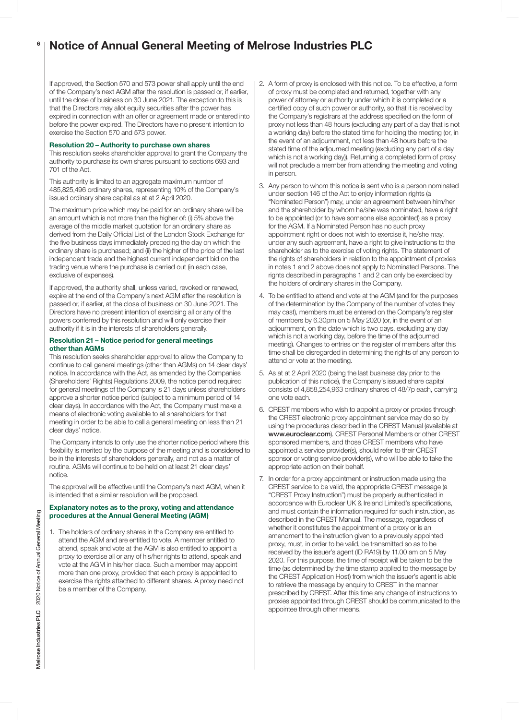#### Notice of Annual General Meeting of Melrose Industries PLC 6

If approved, the Section 570 and 573 power shall apply until the end of the Company's next AGM after the resolution is passed or, if earlier, until the close of business on 30 June 2021. The exception to this is that the Directors may allot equity securities after the power has expired in connection with an offer or agreement made or entered into before the power expired. The Directors have no present intention to exercise the Section 570 and 573 power.

#### Resolution 20 – Authority to purchase own shares

This resolution seeks shareholder approval to grant the Company the authority to purchase its own shares pursuant to sections 693 and 701 of the Act.

This authority is limited to an aggregate maximum number of 485,825,496 ordinary shares, representing 10% of the Company's issued ordinary share capital as at at 2 April 2020.

The maximum price which may be paid for an ordinary share will be an amount which is not more than the higher of: (i) 5% above the average of the middle market quotation for an ordinary share as derived from the Daily Official List of the London Stock Exchange for the five business days immediately preceding the day on which the ordinary share is purchased; and (ii) the higher of the price of the last independent trade and the highest current independent bid on the trading venue where the purchase is carried out (in each case, exclusive of expenses).

If approved, the authority shall, unless varied, revoked or renewed, expire at the end of the Company's next AGM after the resolution is passed or, if earlier, at the close of business on 30 June 2021. The Directors have no present intention of exercising all or any of the powers conferred by this resolution and will only exercise their authority if it is in the interests of shareholders generally.

#### Resolution 21 – Notice period for general meetings other than AGMs

This resolution seeks shareholder approval to allow the Company to continue to call general meetings (other than AGMs) on 14 clear days' notice. In accordance with the Act, as amended by the Companies (Shareholders' Rights) Regulations 2009, the notice period required for general meetings of the Company is 21 days unless shareholders approve a shorter notice period (subject to a minimum period of 14 clear days). In accordance with the Act, the Company must make a means of electronic voting available to all shareholders for that meeting in order to be able to call a general meeting on less than 21 clear days' notice.

The Company intends to only use the shorter notice period where this flexibility is merited by the purpose of the meeting and is considered to be in the interests of shareholders generally, and not as a matter of routine. AGMs will continue to be held on at least 21 clear days' notice.

The approval will be effective until the Company's next AGM, when it is intended that a similar resolution will be proposed.

## Explanatory notes as to the proxy, voting and attendance procedures at the Annual General Meeting (AGM)

1. The holders of ordinary shares in the Company are entitled to attend the AGM and are entitled to vote. A member entitled to attend, speak and vote at the AGM is also entitled to appoint a proxy to exercise all or any of his/her rights to attend, speak and vote at the AGM in his/her place. Such a member may appoint more than one proxy, provided that each proxy is appointed to exercise the rights attached to different shares. A proxy need not be a member of the Company.

- 2. A form of proxy is enclosed with this notice. To be effective, a form of proxy must be completed and returned, together with any power of attorney or authority under which it is completed or a certified copy of such power or authority, so that it is received by the Company's registrars at the address specified on the form of proxy not less than 48 hours (excluding any part of a day that is not a working day) before the stated time for holding the meeting (or, in the event of an adjournment, not less than 48 hours before the stated time of the adjourned meeting (excluding any part of a day which is not a working day)). Returning a completed form of proxy will not preclude a member from attending the meeting and voting in person.
- 3. Any person to whom this notice is sent who is a person nominated under section 146 of the Act to enjoy information rights (a "Nominated Person") may, under an agreement between him/her and the shareholder by whom he/she was nominated, have a right to be appointed (or to have someone else appointed) as a proxy for the AGM. If a Nominated Person has no such proxy appointment right or does not wish to exercise it, he/she may, under any such agreement, have a right to give instructions to the shareholder as to the exercise of voting rights. The statement of the rights of shareholders in relation to the appointment of proxies in notes 1 and 2 above does not apply to Nominated Persons. The rights described in paragraphs 1 and 2 can only be exercised by the holders of ordinary shares in the Company.
- 4. To be entitled to attend and vote at the AGM (and for the purposes of the determination by the Company of the number of votes they may cast), members must be entered on the Company's register of members by 6.30pm on 5 May 2020 (or, in the event of an adjournment, on the date which is two days, excluding any day which is not a working day, before the time of the adjourned meeting). Changes to entries on the register of members after this time shall be disregarded in determining the rights of any person to attend or vote at the meeting.
- 5. As at at 2 April 2020 (being the last business day prior to the publication of this notice), the Company's issued share capital consists of 4,858,254,963 ordinary shares of 48/7p each, carrying one vote each.
- 6. CREST members who wish to appoint a proxy or proxies through the CREST electronic proxy appointment service may do so by using the procedures described in the CREST Manual (available at www.euroclear.com). CREST Personal Members or other CREST sponsored members, and those CREST members who have appointed a service provider(s), should refer to their CREST sponsor or voting service provider(s), who will be able to take the appropriate action on their behalf.
- In order for a proxy appointment or instruction made using the CREST service to be valid, the appropriate CREST message (a "CREST Proxy Instruction") must be properly authenticated in accordance with Euroclear UK & Ireland Limited's specifications, and must contain the information required for such instruction, as described in the CREST Manual. The message, regardless of whether it constitutes the appointment of a proxy or is an amendment to the instruction given to a previously appointed proxy, must, in order to be valid, be transmitted so as to be received by the issuer's agent (ID RA19) by 11.00 am on 5 May 2020. For this purpose, the time of receipt will be taken to be the time (as determined by the time stamp applied to the message by the CREST Application Host) from which the issuer's agent is able to retrieve the message by enquiry to CREST in the manner prescribed by CREST. After this time any change of instructions to proxies appointed through CREST should be communicated to the appointee through other means.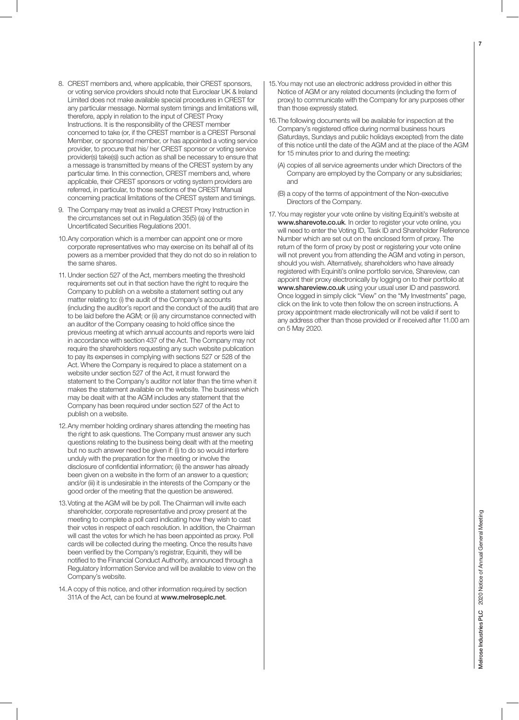- 8. CREST members and, where applicable, their CREST sponsors, or voting service providers should note that Euroclear UK & Ireland Limited does not make available special procedures in CREST for any particular message. Normal system timings and limitations will, therefore, apply in relation to the input of CREST Proxy Instructions. It is the responsibility of the CREST member concerned to take (or, if the CREST member is a CREST Personal Member, or sponsored member, or has appointed a voting service provider, to procure that his/ her CREST sponsor or voting service provider(s) take(s)) such action as shall be necessary to ensure that a message is transmitted by means of the CREST system by any particular time. In this connection, CREST members and, where applicable, their CREST sponsors or voting system providers are referred, in particular, to those sections of the CREST Manual concerning practical limitations of the CREST system and timings.
- 9. The Company may treat as invalid a CREST Proxy Instruction in the circumstances set out in Regulation 35(5) (a) of the Uncertificated Securities Regulations 2001.
- 10. Any corporation which is a member can appoint one or more corporate representatives who may exercise on its behalf all of its powers as a member provided that they do not do so in relation to the same shares.
- 11. Under section 527 of the Act, members meeting the threshold requirements set out in that section have the right to require the Company to publish on a website a statement setting out any matter relating to: (i) the audit of the Company's accounts (including the auditor's report and the conduct of the audit) that are to be laid before the AGM; or (ii) any circumstance connected with an auditor of the Company ceasing to hold office since the previous meeting at which annual accounts and reports were laid in accordance with section 437 of the Act. The Company may not require the shareholders requesting any such website publication to pay its expenses in complying with sections 527 or 528 of the Act. Where the Company is required to place a statement on a website under section 527 of the Act, it must forward the statement to the Company's auditor not later than the time when it makes the statement available on the website. The business which may be dealt with at the AGM includes any statement that the Company has been required under section 527 of the Act to publish on a website.
- 12. Any member holding ordinary shares attending the meeting has the right to ask questions. The Company must answer any such questions relating to the business being dealt with at the meeting but no such answer need be given if: (i) to do so would interfere unduly with the preparation for the meeting or involve the disclosure of confidential information; (ii) the answer has already been given on a website in the form of an answer to a question; and/or (iii) it is undesirable in the interests of the Company or the good order of the meeting that the question be answered.
- 13. Voting at the AGM will be by poll. The Chairman will invite each shareholder, corporate representative and proxy present at the meeting to complete a poll card indicating how they wish to cast their votes in respect of each resolution. In addition, the Chairman will cast the votes for which he has been appointed as proxy. Poll cards will be collected during the meeting. Once the results have been verified by the Company's registrar, Equiniti, they will be notified to the Financial Conduct Authority, announced through a Regulatory Information Service and will be available to view on the Company's website.
- 14. A copy of this notice, and other information required by section 311A of the Act, can be found at www.melroseplc.net.
- 15. You may not use an electronic address provided in either this Notice of AGM or any related documents (including the form of proxy) to communicate with the Company for any purposes other than those expressly stated.
- 16. The following documents will be available for inspection at the Company's registered office during normal business hours (Saturdays, Sundays and public holidays excepted) from the date of this notice until the date of the AGM and at the place of the AGM for 15 minutes prior to and during the meeting:
	- (A) copies of all service agreements under which Directors of the Company are employed by the Company or any subsidiaries; and
	- (B) a copy of the terms of appointment of the Non-executive Directors of the Company.
- 17. You may register your vote online by visiting Equiniti's website at www.sharevote.co.uk. In order to register your vote online, you will need to enter the Voting ID, Task ID and Shareholder Reference Number which are set out on the enclosed form of proxy. The return of the form of proxy by post or registering your vote online will not prevent you from attending the AGM and voting in person, should you wish. Alternatively, shareholders who have already registered with Equiniti's online portfolio service, Shareview, can appoint their proxy electronically by logging on to their portfolio at www.shareview.co.uk using your usual user ID and password. Once logged in simply click "View" on the "My Investments" page, click on the link to vote then follow the on screen instructions. A proxy appointment made electronically will not be valid if sent to any address other than those provided or if received after 11.00 am on 5 May 2020.

7